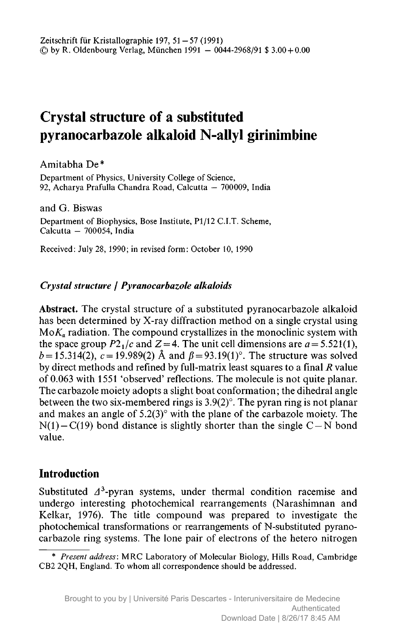# Crystal structure of <sup>a</sup> substituted pyranocarbazole alkaloid N-allyl girinimbine

Amitabha De \*

Department of Physics, University College of Science, 92, Acharya Prafulla Chandra Road, Calcutta - 700009, India

and G. Biswas Department of Biophysics, Bose Institute, Pl/12 C.I.T. Scheme, Calcutta - 700054, India

Received: July 28, 1990; in revised form: October 10, 1990

## Crystal structure / Pyranocarbazole alkaloids

Abstract. The crystal structure of <sup>a</sup> substituted pyranocarbazole alkaloid has been determined by X-ray diffraction method on <sup>a</sup> single crystal using  $M \circ K_{\alpha}$  radiation. The compound crystallizes in the monoclinic system with the space group  $P2_1/c$  and  $Z = 4$ . The unit cell dimensions are  $a = 5.521(1)$ ,  $b = 15.314(2)$ ,  $c = 19.989(2)$  Å and  $\beta = 93.19(1)^\circ$ . The structure was solved by direct methods and refined by full-matrix least squares to a final  *value* of 0.063 with <sup>1551</sup> 'observed' reflections. The molecule is not quite planar. The carbazole moiety adopts <sup>a</sup> slight boat conformation; the dihedral angle between the two six-membered rings is 3.9(2)°. The pyran ring is not planar and makes an angle of 5.2(3)° with the plane of the carbazole moiety. The  $N(1) - C(19)$  bond distance is slightly shorter than the single C – N bond value.

# Introduction

Substituted  $\Delta^3$ -pyran systems, under thermal condition racemise and undergo interesting photochemical rearrangements (Narashimnan and Kelkar, 1976). The title compound was prepared to investigate the photochemical transformations or rearrangements of N-substituted pyranocarbazole ring systems. The lone pair of electrons of the hetero nitrogen

<sup>\*</sup> Present address: MRC Laboratory of Molecular Biology, Hills Road, Cambridge CB2 2QH, England. To whom all correspondence should be addressed.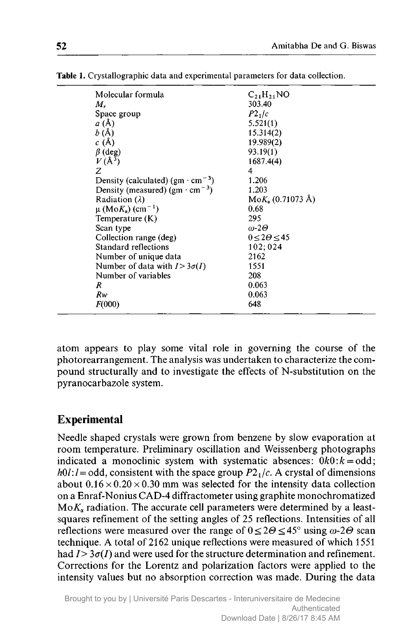| Molecular formula                                 | $C_{21}H_{21}NO$                 |
|---------------------------------------------------|----------------------------------|
| М.                                                | 303.40                           |
| Space group                                       | $P2_1/c$                         |
| a(A)                                              | 5.521(1)                         |
| b(A)                                              | 15.314(2)                        |
| c(A)                                              | 19.989(2)                        |
| $\beta$ (deg)                                     | 93.19(1)                         |
| $V(\AA^3)$                                        | 1687.4(4)                        |
| Ζ                                                 | 4                                |
| Density (calculated) $(gm \cdot cm^{-3})$         | 1.206                            |
| Density (measured) (gm $\cdot$ cm <sup>-3</sup> ) | 1.203                            |
| Radiation $(\lambda)$                             | $M \circ K_{\alpha}$ (0.71073 Å) |
| $\mu$ (Mo $K_{\alpha}$ ) (cm <sup>-1</sup> )      | 0.68                             |
| Temperature (K)                                   | 295                              |
| Scan type                                         | $\omega$ -20                     |
| Collection range (deg)                            | $0 \leq 2\Theta \leq 45$         |
| Standard reflections                              | 102:024                          |
| Number of unique data                             | 2162                             |
| Number of data with $I > 3\sigma(I)$              | 1551                             |
| Number of variables                               | 208                              |
| R                                                 | 0.063                            |
| Rw                                                | 0.063                            |
| F(000)                                            | 648                              |
|                                                   |                                  |

Table 1. Crystallographic data and experimental parameters for data collection.

atom appears to play some vital role in governing the course of the photorearrangement. The analysis was undertaken to characterize the compound structurally and to investigate the effects of N-substitution on the pyranocarbazole system.

# Experimental

Needle shaped crystals were grown from benzene by slow evaporation at room temperature. Preliminary oscillation and Weissenberg photographs indicated a monoclinic system with systematic absences:  $0k0$ : $k =$ odd;  $h01: l = \text{odd}$ , consistent with the space group  $P2<sub>1</sub>/c$ . A crystal of dimensions about  $0.16 \times 0.20 \times 0.30$  mm was selected for the intensity data collection on <sup>a</sup> Enraf-Nonius CAD-4 diffractometer using graphite monochromatized  $MoK<sub>a</sub>$  radiation. The accurate cell parameters were determined by a leastsquares refinement of the setting angles of <sup>25</sup> reflections. Intensities of all reflections were measured over the range of  $0 \le 2\Theta \le 45^{\circ}$  using  $\omega$ -2 $\Theta$  scan technique. A total of <sup>2162</sup> unique reflections were measured of which <sup>1551</sup> had  $I > 3\sigma(I)$  and were used for the structure determination and refinement. Corrections for the Lorentz and polarization factors were applied to the intensity values but no absorption correction was made. During the data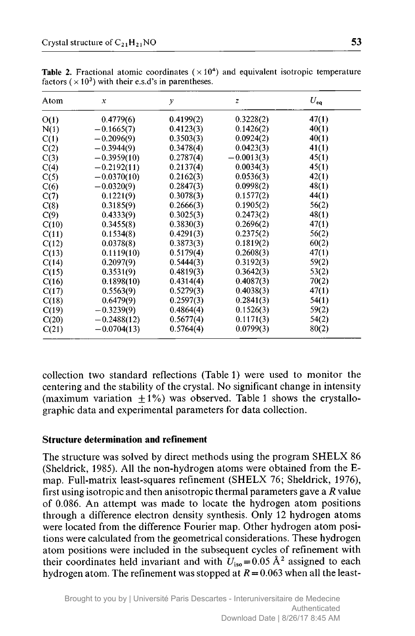| Atom  | $\boldsymbol{x}$ | y         | $\overline{z}$ | $U_{\rm ee}$ |
|-------|------------------|-----------|----------------|--------------|
| O(1)  | 0.4779(6)        | 0.4199(2) | 0.3228(2)      | 47(1)        |
| N(1)  | $-0.1665(7)$     | 0.4123(3) | 0.1426(2)      | 40(1)        |
| C(1)  | $-0.2096(9)$     | 0.3503(3) | 0.0924(2)      | 40(1)        |
| C(2)  | $-0.3944(9)$     | 0.3478(4) | 0.0423(3)      | 41(1)        |
| C(3)  | $-0.3959(10)$    | 0.2787(4) | $-0.0013(3)$   | 45(1)        |
| C(4)  | $-0.2192(11)$    | 0.2137(4) | 0.0034(3)      | 45(1)        |
| C(5)  | $-0.0370(10)$    | 0.2162(3) | 0.0536(3)      | 42(1)        |
| C(6)  | $-0.0320(9)$     | 0.2847(3) | 0.0998(2)      | 48(1)        |
| C(7)  | 0.1221(9)        | 0.3078(3) | 0.1577(2)      | 44(1)        |
| C(8)  | 0.3185(9)        | 0.2666(3) | 0.1905(2)      | 56(2)        |
| C(9)  | 0.4333(9)        | 0.3025(3) | 0.2473(2)      | 48(1)        |
| C(10) | 0.3455(8)        | 0.3830(3) | 0.2696(2)      | 47(1)        |
| C(11) | 0.1534(8)        | 0.4291(3) | 0.2375(2)      | 56(2)        |
| C(12) | 0.0378(8)        | 0.3873(3) | 0.1819(2)      | 60(2)        |
| C(13) | 0.1119(10)       | 0.5179(4) | 0.2608(3)      | 47(1)        |
| C(14) | 0.2097(9)        | 0.5444(3) | 0.3192(3)      | 59(2)        |
| C(15) | 0.3531(9)        | 0.4819(3) | 0.3642(3)      | 53(2)        |
| C(16) | 0.1898(10)       | 0.4314(4) | 0.4087(3)      | 70(2)        |
| C(17) | 0.5563(9)        | 0.5279(3) | 0.4038(3)      | 47(1)        |
| C(18) | 0.6479(9)        | 0.2597(3) | 0.2841(3)      | 54(1)        |
| C(19) | $-0.3239(9)$     | 0.4864(4) | 0.1526(3)      | 59(2)        |
| C(20) | $-0.2488(12)$    | 0.5677(4) | 0.1171(3)      | 54(2)        |
| C(21) | $-0.0704(13)$    | 0.5764(4) | 0.0799(3)      | 80(2)        |

**Table 2.** Fractional atomic coordinates ( $\times$ 10<sup>4</sup>) and equivalent isotropic temperature factors ( $\times$  10<sup>3</sup>) with their e.s.d's in parentheses.

collection two standard reflections (Table 1) were used to monitor the centering and the stability of the crystal. No significant change in intensity (maximum variation  $+1\%$ ) was observed. Table 1 shows the crystallographic data and experimental parameters for data collection.

#### Structure determination and refinement

The structure was solved by direct methods using the program SHELX <sup>86</sup> (Sheldrick, 1985). All the non-hydrogen atoms were obtained from the Emap. Full-matrix least-squares refinement (SHELX 76; Sheldrick, 1976), first using isotropic and then anisotropic thermal parameters gave a  $R$  value of 0.086. An attempt was made to locate the hydrogen atom positions through <sup>a</sup> difference electron density synthesis. Only <sup>12</sup> hydrogen atoms were located from the difference Fourier map. Other hydrogen atom positions were calculated from the geometrical considerations. These hydrogen atom positions were included in the subsequent cycles of refinement with their coordinates held invariant and with  $U_{\text{iso}} = 0.05 \text{ Å}^2$  assigned to each hydrogen atom. The refinement was stopped at  $R = 0.063$  when all the least-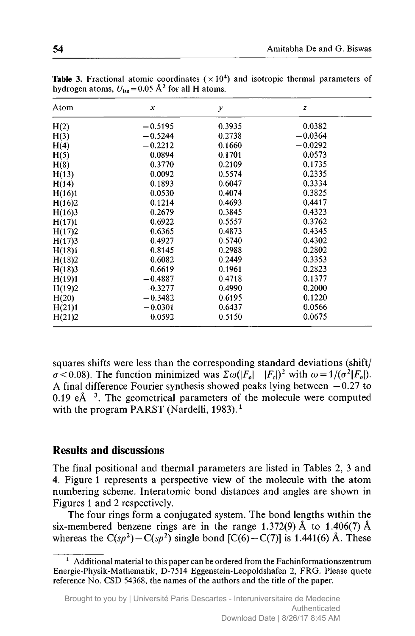| Atom   | $\boldsymbol{\mathsf{x}}$ | $\mathcal{Y}$ | $\boldsymbol{z}$ |
|--------|---------------------------|---------------|------------------|
| H(2)   | $-0.5195$                 | 0.3935        | 0.0382           |
| H(3)   | $-0.5244$                 | 0.2738        | $-0.0364$        |
| H(4)   | $-0.2212$                 | 0.1660        | $-0.0292$        |
| H(5)   | 0.0894                    | 0.1701        | 0.0573           |
| H(8)   | 0.3770                    | 0.2109        | 0.1735           |
| H(13)  | 0.0092                    | 0.5574        | 0.2335           |
| H(14)  | 0.1893                    | 0.6047        | 0.3334           |
| H(16)1 | 0.0530                    | 0.4074        | 0.3825           |
| H(16)2 | 0.1214                    | 0.4693        | 0.4417           |
| H(16)3 | 0.2679                    | 0.3845        | 0.4323           |
| H(17)1 | 0.6922                    | 0.5557        | 0.3762           |
| H(17)2 | 0.6365                    | 0.4873        | 0.4345           |
| H(17)3 | 0.4927                    | 0.5740        | 0.4302           |
| H(18)1 | 0.8145                    | 0.2988        | 0.2802           |
| H(18)2 | 0.6082                    | 0.2449        | 0.3353           |
| H(18)3 | 0.6619                    | 0.1961        | 0.2823           |
| H(19)1 | $-0.4887$                 | 0.4718        | 0.1377           |
| H(19)2 | $-0.3277$                 | 0.4990        | 0.2000           |
| H(20)  | $-0.3482$                 | 0.6195        | 0.1220           |
| H(21)1 | $-0.0301$                 | 0.6437        | 0.0566           |
| H(21)2 | 0.0592                    | 0.5150        | 0.0675           |

**Table 3.** Fractional atomic coordinates  $(\times 10^4)$  and isotropic thermal parameters of hydrogen atoms,  $U_{\text{ice}} = 0.05 \text{ Å}^2$  for all H atoms.

squares shifts were less than the corresponding standard deviations (shift/  $\sigma$  < 0.08). The function minimized was  $\sum \omega(|F_o|-|F_e|)^2$  with  $\omega=1/(\sigma^2|F_o|)$ .<br>A final difference Fourier synthesis showed peaks lying between  $-0.27$  to A final difference Fourier synthesis showed peaks lying between  $-0.27$  to 0.19  $eA^{-3}$ . The geometrical parameters of the molecule were computed with the program PARST (Nardelli, 1983).<sup>1</sup>

### Results and discussions

The final positional and thermal parameters are listed in Tables 2, <sup>3</sup> and 4. Figure <sup>1</sup> represents <sup>a</sup> perspective view of the molecule with the atom numbering scheme. Interatomic bond distances and angles are shown in Figures <sup>1</sup> and <sup>2</sup> respectively.

The four rings form <sup>a</sup> conjugated system. The bond lengths within the six-membered benzene rings are in the range 1.372(9) Å to 1.406(7) Å whereas the  $C(sp^2) - C(sp^2)$  single bond  $[C(6) - C(7)]$  is 1.441(6) Å. These

 $1$  Additional material to this paper can be ordered from the Fachinformationszentrum Energie-Physik-Mathematik, D-7514 Eggenstein-Leopoldshafen 2, FRG. Please quote reference No. CSD 54368, the names of the authors and the title of the paper.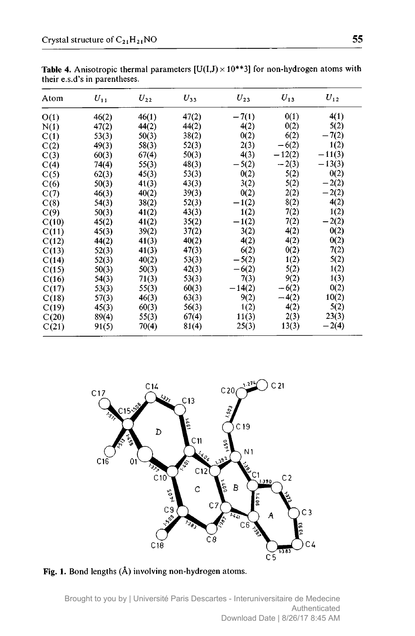| Atom  | $U_{11}$ | $U_{22}$ | $U_{33}$ | $U_{23}$ | $U_{13}$ | $U_{12}$ |
|-------|----------|----------|----------|----------|----------|----------|
| O(1)  | 46(2)    | 46(1)    | 47(2)    | $-7(1)$  | 0(1)     | 4(1)     |
| N(1)  | 47(2)    | 44(2)    | 44(2)    | 4(2)     | 0(2)     | 5(2)     |
| C(1)  | 53(3)    | 50(3)    | 38(2)    | 0(2)     | 6(2)     | $-7(2)$  |
| C(2)  | 49(3)    | 58(3)    | 52(3)    | 2(3)     | $-6(2)$  | 1(2)     |
| C(3)  | 60(3)    | 67(4)    | 50(3)    | 4(3)     | $-12(2)$ | $-11(3)$ |
| C(4)  | 74(4)    | 55(3)    | 48(3)    | $-5(2)$  | $-2(3)$  | $-13(3)$ |
| C(5)  | 62(3)    | 45(3)    | 53(3)    | 0(2)     | 5(2)     | 0(2)     |
| C(6)  | 50(3)    | 41(3)    | 43(3)    | 3(2)     | 5(2)     | $-2(2)$  |
| C(7)  | 46(3)    | 40(2)    | 39(3)    | 0(2)     | 2(2)     | $-2(2)$  |
| C(8)  | 54(3)    | 38(2)    | 52(3)    | $-1(2)$  | 8(2)     | 4(2)     |
| C(9)  | 50(3)    | 41(2)    | 43(3)    | 1(2)     | 7(2)     | 1(2)     |
| C(10) | 45(2)    | 41(2)    | 35(2)    | $-1(2)$  | 7(2)     | $-2(2)$  |
| C(11) | 45(3)    | 39(2)    | 37(2)    | 3(2)     | 4(2)     | 0(2)     |
| C(12) | 44(2)    | 41(3)    | 40(2)    | 4(2)     | 4(2)     | 0(2)     |
| C(13) | 52(3)    | 41(3)    | 47(3)    | 6(2)     | 0(2)     | 7(2)     |
| C(14) | 52(3)    | 40(2)    | 53(3)    | $-5(2)$  | 1(2)     | 5(2)     |
| C(15) | 50(3)    | 50(3)    | 42(3)    | $-6(2)$  | 5(2)     | 1(2)     |
| C(16) | 54(3)    | 71(3)    | 53(3)    | 7(3)     | 9(2)     | 1(3)     |
| C(17) | 53(3)    | 55(3)    | 60(3)    | $-14(2)$ | $-6(2)$  | 0(2)     |
| C(18) | 57(3)    | 46(3)    | 63(3)    | 9(2)     | $-4(2)$  | 10(2)    |
| C(19) | 45(3)    | 60(3)    | 56(3)    | 1(2)     | 4(2)     | 5(2)     |
| C(20) | 89(4)    | 55(3)    | 67(4)    | 11(3)    | 2(3)     | 23(3)    |
| C(21) | 91(5)    | 70(4)    | 81(4)    | 25(3)    | 13(3)    | $-2(4)$  |

**Table 4.** Anisotropic thermal parameters  $[U(I,J) \times 10^{**}3]$  for non-hydrogen atoms with their e.s.d's in parentheses.



Fig. 1. Bond lengths (Ä) involving non-hydrogen atoms.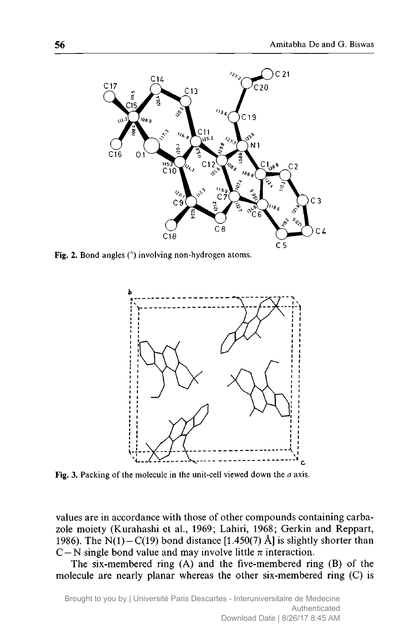

Fig. 2. Bond angles (°) involving non-hydrogen atoms.



Fig. 3. Packing of the molecule in the unit-cell viewed down the  $a$  axis.

values are in accordance with those of other compounds containing carbazole moiety (Kurahashi et al., 1969; Lahiri, 1968; Gerkin and Reppart, 1986). The  $N(1)-C(19)$  bond distance [1.450(7) Å] is slightly shorter than C – N single bond value and may involve little  $\pi$  interaction.

The six-membered ring (A) and the five-membered ring (B) of the molecule are nearly planar whereas the other six-membered ring (C) is